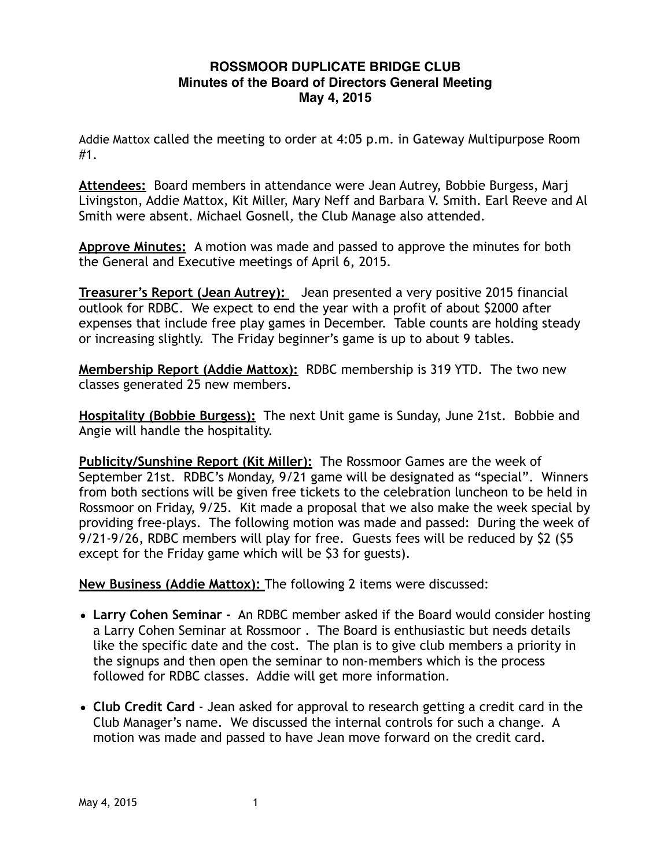## **ROSSMOOR DUPLICATE BRIDGE CLUB Minutes of the Board of Directors General Meeting May 4, 2015**

Addie Mattox called the meeting to order at 4:05 p.m. in Gateway Multipurpose Room #1.

**Attendees:** Board members in attendance were Jean Autrey, Bobbie Burgess, Marj Livingston, Addie Mattox, Kit Miller, Mary Neff and Barbara V. Smith. Earl Reeve and Al Smith were absent. Michael Gosnell, the Club Manage also attended.

**Approve Minutes:** A motion was made and passed to approve the minutes for both the General and Executive meetings of April 6, 2015.

**Treasurer's Report (Jean Autrey):** Jean presented a very positive 2015 financial outlook for RDBC. We expect to end the year with a profit of about \$2000 after expenses that include free play games in December. Table counts are holding steady or increasing slightly. The Friday beginner's game is up to about 9 tables.

**Membership Report (Addie Mattox):** RDBC membership is 319 YTD. The two new classes generated 25 new members.

**Hospitality (Bobbie Burgess):** The next Unit game is Sunday, June 21st. Bobbie and Angie will handle the hospitality.

**Publicity/Sunshine Report (Kit Miller):** The Rossmoor Games are the week of September 21st. RDBC's Monday, 9/21 game will be designated as "special". Winners from both sections will be given free tickets to the celebration luncheon to be held in Rossmoor on Friday, 9/25. Kit made a proposal that we also make the week special by providing free-plays. The following motion was made and passed: During the week of 9/21-9/26, RDBC members will play for free. Guests fees will be reduced by \$2 (\$5 except for the Friday game which will be \$3 for guests).

**New Business (Addie Mattox):** The following 2 items were discussed:

- **Larry Cohen Seminar** An RDBC member asked if the Board would consider hosting a Larry Cohen Seminar at Rossmoor . The Board is enthusiastic but needs details like the specific date and the cost. The plan is to give club members a priority in the signups and then open the seminar to non-members which is the process followed for RDBC classes. Addie will get more information.
- **Club Credit Card** Jean asked for approval to research getting a credit card in the Club Manager's name. We discussed the internal controls for such a change. A motion was made and passed to have Jean move forward on the credit card.